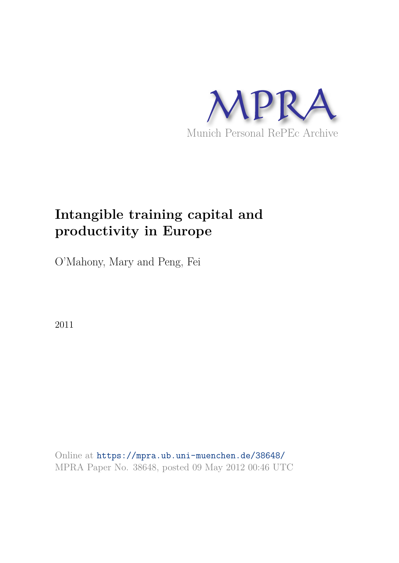

# **Intangible training capital and productivity in Europe**

O'Mahony, Mary and Peng, Fei

2011

Online at https://mpra.ub.uni-muenchen.de/38648/ MPRA Paper No. 38648, posted 09 May 2012 00:46 UTC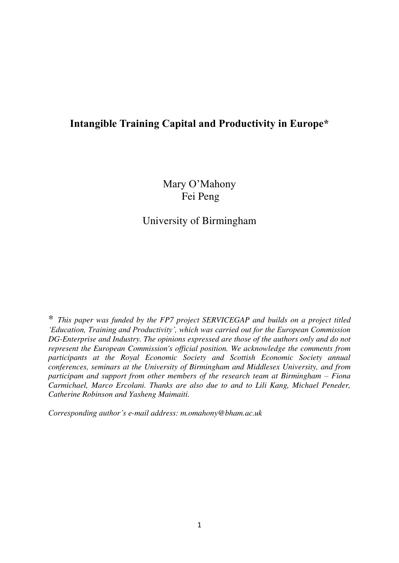# **Intangible Training Capital and Productivity in Europe\***

Mary O'Mahony Fei Peng

University of Birmingham

\* *This paper was funded by the FP7 project SERVICEGAP and builds on a project titled 'Education, Training and Productivity', which was carried out for the European Commission DG-Enterprise and Industry. The opinions expressed are those of the authors only and do not represent the European Commission's official position. We acknowledge the comments from participants at the Royal Economic Society and Scottish Economic Society annual conferences, seminars at the University of Birmingham and Middlesex University, and from participam and support from other members of the research team at Birmingham – Fiona Carmichael, Marco Ercolani. Thanks are also due to and to Lili Kang, Michael Peneder, Catherine Robinson and Yasheng Maimaiti.* 

*Corresponding author's e-mail address: m.omahony@bham.ac.uk*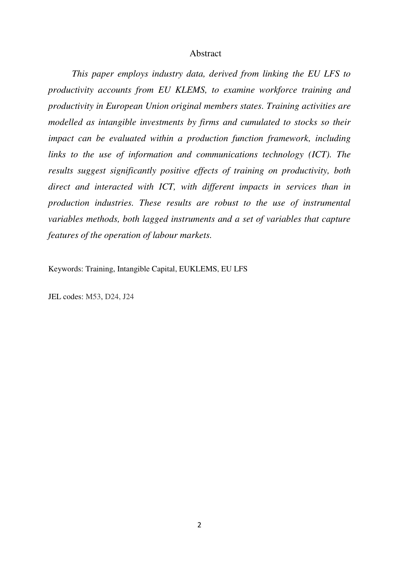#### Abstract

*This paper employs industry data, derived from linking the EU LFS to productivity accounts from EU KLEMS, to examine workforce training and productivity in European Union original members states. Training activities are modelled as intangible investments by firms and cumulated to stocks so their impact can be evaluated within a production function framework, including links to the use of information and communications technology (ICT). The results suggest significantly positive effects of training on productivity, both*  direct and interacted with ICT, with different impacts in services than in *production industries. These results are robust to the use of instrumental variables methods, both lagged instruments and a set of variables that capture features of the operation of labour markets.* 

Keywords: Training, Intangible Capital, EUKLEMS, EU LFS

JEL codes: M53, D24, J24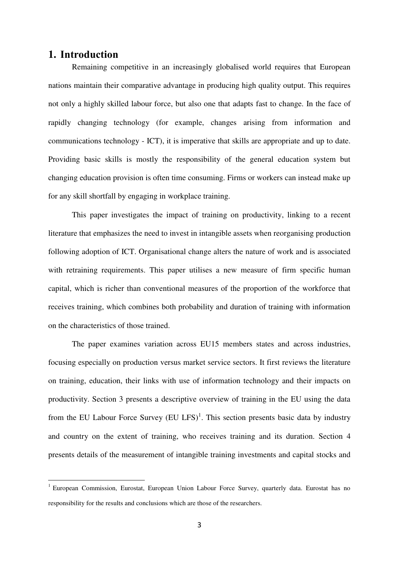## **1. Introduction**

1

Remaining competitive in an increasingly globalised world requires that European nations maintain their comparative advantage in producing high quality output. This requires not only a highly skilled labour force, but also one that adapts fast to change. In the face of rapidly changing technology (for example, changes arising from information and communications technology - ICT), it is imperative that skills are appropriate and up to date. Providing basic skills is mostly the responsibility of the general education system but changing education provision is often time consuming. Firms or workers can instead make up for any skill shortfall by engaging in workplace training.

This paper investigates the impact of training on productivity, linking to a recent literature that emphasizes the need to invest in intangible assets when reorganising production following adoption of ICT. Organisational change alters the nature of work and is associated with retraining requirements. This paper utilises a new measure of firm specific human capital, which is richer than conventional measures of the proportion of the workforce that receives training, which combines both probability and duration of training with information on the characteristics of those trained.

The paper examines variation across EU15 members states and across industries, focusing especially on production versus market service sectors. It first reviews the literature on training, education, their links with use of information technology and their impacts on productivity. Section 3 presents a descriptive overview of training in the EU using the data from the EU Labour Force Survey  $(EU LFS)^1$ . This section presents basic data by industry and country on the extent of training, who receives training and its duration. Section 4 presents details of the measurement of intangible training investments and capital stocks and

<sup>&</sup>lt;sup>1</sup> European Commission, Eurostat, European Union Labour Force Survey, quarterly data. Eurostat has no responsibility for the results and conclusions which are those of the researchers.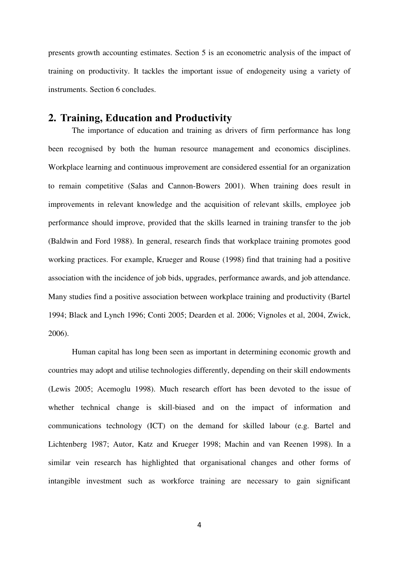presents growth accounting estimates. Section 5 is an econometric analysis of the impact of training on productivity. It tackles the important issue of endogeneity using a variety of instruments. Section 6 concludes.

# **2. Training, Education and Productivity**

The importance of education and training as drivers of firm performance has long been recognised by both the human resource management and economics disciplines. Workplace learning and continuous improvement are considered essential for an organization to remain competitive (Salas and Cannon-Bowers 2001). When training does result in improvements in relevant knowledge and the acquisition of relevant skills, employee job performance should improve, provided that the skills learned in training transfer to the job (Baldwin and Ford 1988). In general, research finds that workplace training promotes good working practices. For example, Krueger and Rouse (1998) find that training had a positive association with the incidence of job bids, upgrades, performance awards, and job attendance. Many studies find a positive association between workplace training and productivity (Bartel 1994; Black and Lynch 1996; Conti 2005; Dearden et al. 2006; Vignoles et al, 2004, Zwick, 2006).

Human capital has long been seen as important in determining economic growth and countries may adopt and utilise technologies differently, depending on their skill endowments (Lewis 2005; Acemoglu 1998). Much research effort has been devoted to the issue of whether technical change is skill-biased and on the impact of information and communications technology (ICT) on the demand for skilled labour (e.g. Bartel and Lichtenberg 1987; Autor, Katz and Krueger 1998; Machin and van Reenen 1998). In a similar vein research has highlighted that organisational changes and other forms of intangible investment such as workforce training are necessary to gain significant

4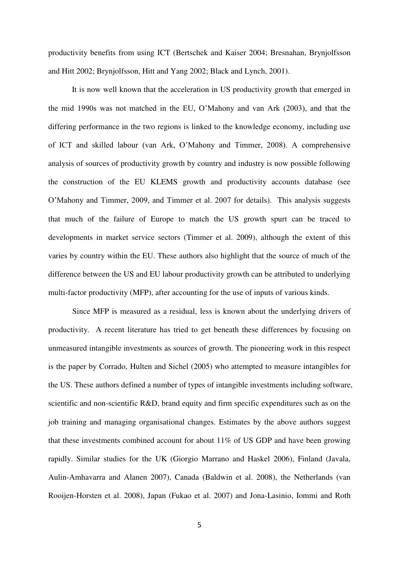productivity benefits from using ICT (Bertschek and Kaiser 2004; Bresnahan, Brynjolfsson and Hitt 2002; Brynjolfsson, Hitt and Yang 2002; Black and Lynch, 2001).

It is now well known that the acceleration in US productivity growth that emerged in the mid 1990s was not matched in the EU, O'Mahony and van Ark (2003), and that the differing performance in the two regions is linked to the knowledge economy, including use of ICT and skilled labour (van Ark, O'Mahony and Timmer, 2008). A comprehensive analysis of sources of productivity growth by country and industry is now possible following the construction of the EU KLEMS growth and productivity accounts database (see O'Mahony and Timmer, 2009, and Timmer et al. 2007 for details). This analysis suggests that much of the failure of Europe to match the US growth spurt can be traced to developments in market service sectors (Timmer et al. 2009), although the extent of this varies by country within the EU. These authors also highlight that the source of much of the difference between the US and EU labour productivity growth can be attributed to underlying multi-factor productivity (MFP), after accounting for the use of inputs of various kinds.

Since MFP is measured as a residual, less is known about the underlying drivers of productivity. A recent literature has tried to get beneath these differences by focusing on unmeasured intangible investments as sources of growth. The pioneering work in this respect is the paper by Corrado, Hulten and Sichel (2005) who attempted to measure intangibles for the US. These authors defined a number of types of intangible investments including software, scientific and non-scientific R&D, brand equity and firm specific expenditures such as on the job training and managing organisational changes. Estimates by the above authors suggest that these investments combined account for about 11% of US GDP and have been growing rapidly. Similar studies for the UK (Giorgio Marrano and Haskel 2006), Finland (Javala, Aulin-Amhavarra and Alanen 2007), Canada (Baldwin et al. 2008), the Netherlands (van Rooijen-Horsten et al. 2008), Japan (Fukao et al. 2007) and Jona-Lasinio, Iommi and Roth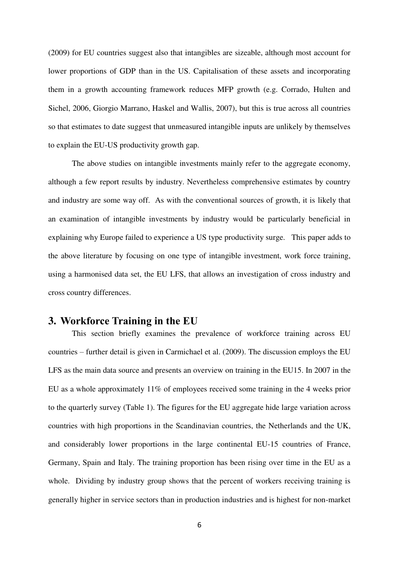(2009) for EU countries suggest also that intangibles are sizeable, although most account for lower proportions of GDP than in the US. Capitalisation of these assets and incorporating them in a growth accounting framework reduces MFP growth (e.g. Corrado, Hulten and Sichel, 2006, Giorgio Marrano, Haskel and Wallis, 2007), but this is true across all countries so that estimates to date suggest that unmeasured intangible inputs are unlikely by themselves to explain the EU-US productivity growth gap.

The above studies on intangible investments mainly refer to the aggregate economy, although a few report results by industry. Nevertheless comprehensive estimates by country and industry are some way off. As with the conventional sources of growth, it is likely that an examination of intangible investments by industry would be particularly beneficial in explaining why Europe failed to experience a US type productivity surge. This paper adds to the above literature by focusing on one type of intangible investment, work force training, using a harmonised data set, the EU LFS, that allows an investigation of cross industry and cross country differences.

# **3. Workforce Training in the EU**

This section briefly examines the prevalence of workforce training across EU countries – further detail is given in Carmichael et al. (2009). The discussion employs the EU LFS as the main data source and presents an overview on training in the EU15. In 2007 in the EU as a whole approximately 11% of employees received some training in the 4 weeks prior to the quarterly survey (Table 1). The figures for the EU aggregate hide large variation across countries with high proportions in the Scandinavian countries, the Netherlands and the UK, and considerably lower proportions in the large continental EU-15 countries of France, Germany, Spain and Italy. The training proportion has been rising over time in the EU as a whole. Dividing by industry group shows that the percent of workers receiving training is generally higher in service sectors than in production industries and is highest for non-market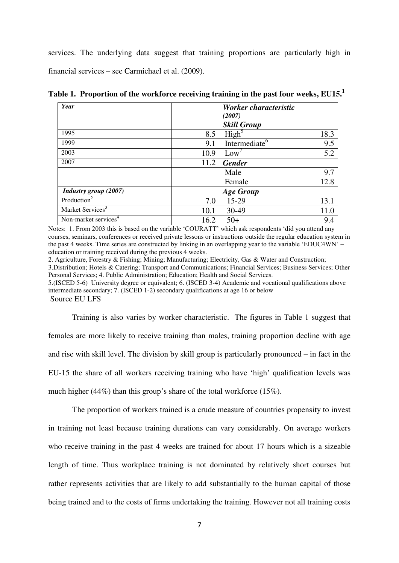services. The underlying data suggest that training proportions are particularly high in financial services – see Carmichael et al. (2009).

| Year                             |      | Worker characteristic     |      |
|----------------------------------|------|---------------------------|------|
|                                  |      | (2007)                    |      |
|                                  |      | <b>Skill Group</b>        |      |
| 1995                             | 8.5  | High <sup>5</sup>         | 18.3 |
| 1999                             | 9.1  | Intermediate <sup>6</sup> | 9.5  |
| 2003                             | 10.9 | Low'                      | 5.2  |
| 2007                             | 11.2 | <b>Gender</b>             |      |
|                                  |      | Male                      | 9.7  |
|                                  |      | Female                    | 12.8 |
| Industry group (2007)            |      | <b>Age Group</b>          |      |
| Production <sup>2</sup>          | 7.0  | 15-29                     | 13.1 |
| Market Services <sup>3</sup>     | 10.1 | 30-49                     | 11.0 |
| Non-market services <sup>4</sup> | 16.2 | $50+$                     | 9.4  |

**Table 1. Proportion of the workforce receiving training in the past four weeks, EU15.<sup>1</sup>**

Notes: 1. From 2003 this is based on the variable 'COURATT' which ask respondents 'did you attend any courses, seminars, conferences or received private lessons or instructions outside the regular education system in the past 4 weeks. Time series are constructed by linking in an overlapping year to the variable 'EDUC4WN' – education or training received during the previous 4 weeks.

2. Agriculture, Forestry & Fishing; Mining; Manufacturing; Electricity, Gas & Water and Construction; 3.Distribution; Hotels & Catering; Transport and Communications; Financial Services; Business Services; Other Personal Services; 4. Public Administration; Education; Health and Social Services.

5.(ISCED 5-6) University degree or equivalent; 6. (ISCED 3-4) Academic and vocational qualifications above intermediate secondary; 7. (ISCED 1-2) secondary qualifications at age 16 or below

Source EU LFS

Training is also varies by worker characteristic. The figures in Table 1 suggest that females are more likely to receive training than males, training proportion decline with age and rise with skill level. The division by skill group is particularly pronounced – in fact in the EU-15 the share of all workers receiving training who have 'high' qualification levels was much higher (44%) than this group's share of the total workforce (15%).

The proportion of workers trained is a crude measure of countries propensity to invest in training not least because training durations can vary considerably. On average workers who receive training in the past 4 weeks are trained for about 17 hours which is a sizeable length of time. Thus workplace training is not dominated by relatively short courses but rather represents activities that are likely to add substantially to the human capital of those being trained and to the costs of firms undertaking the training. However not all training costs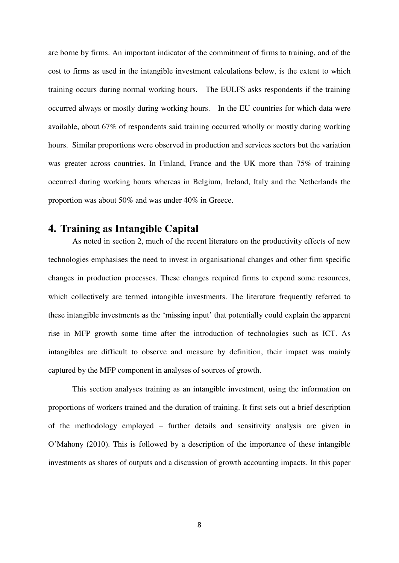are borne by firms. An important indicator of the commitment of firms to training, and of the cost to firms as used in the intangible investment calculations below, is the extent to which training occurs during normal working hours. The EULFS asks respondents if the training occurred always or mostly during working hours. In the EU countries for which data were available, about 67% of respondents said training occurred wholly or mostly during working hours. Similar proportions were observed in production and services sectors but the variation was greater across countries. In Finland, France and the UK more than 75% of training occurred during working hours whereas in Belgium, Ireland, Italy and the Netherlands the proportion was about 50% and was under 40% in Greece.

## **4. Training as Intangible Capital**

As noted in section 2, much of the recent literature on the productivity effects of new technologies emphasises the need to invest in organisational changes and other firm specific changes in production processes. These changes required firms to expend some resources, which collectively are termed intangible investments. The literature frequently referred to these intangible investments as the 'missing input' that potentially could explain the apparent rise in MFP growth some time after the introduction of technologies such as ICT. As intangibles are difficult to observe and measure by definition, their impact was mainly captured by the MFP component in analyses of sources of growth.

This section analyses training as an intangible investment, using the information on proportions of workers trained and the duration of training. It first sets out a brief description of the methodology employed – further details and sensitivity analysis are given in O'Mahony (2010). This is followed by a description of the importance of these intangible investments as shares of outputs and a discussion of growth accounting impacts. In this paper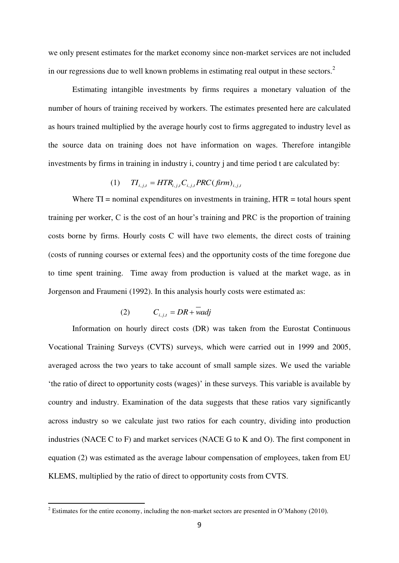we only present estimates for the market economy since non-market services are not included in our regressions due to well known problems in estimating real output in these sectors.<sup>2</sup>

Estimating intangible investments by firms requires a monetary valuation of the number of hours of training received by workers. The estimates presented here are calculated as hours trained multiplied by the average hourly cost to firms aggregated to industry level as the source data on training does not have information on wages. Therefore intangible investments by firms in training in industry i, country j and time period t are calculated by:

$$
(1) \qquad T I_{i,j,t} = HTR_{i,j,t} C_{i,j,t} PRC(firm)_{i,j,t}
$$

Where  $TI =$  nominal expenditures on investments in training,  $HTR =$  total hours spent training per worker, C is the cost of an hour's training and PRC is the proportion of training costs borne by firms. Hourly costs C will have two elements, the direct costs of training (costs of running courses or external fees) and the opportunity costs of the time foregone due to time spent training. Time away from production is valued at the market wage, as in Jorgenson and Fraumeni (1992). In this analysis hourly costs were estimated as:

$$
(2) \tC_{i,j,t} = DR + wadj
$$

Information on hourly direct costs (DR) was taken from the Eurostat Continuous Vocational Training Surveys (CVTS) surveys, which were carried out in 1999 and 2005, averaged across the two years to take account of small sample sizes. We used the variable 'the ratio of direct to opportunity costs (wages)' in these surveys. This variable is available by country and industry. Examination of the data suggests that these ratios vary significantly across industry so we calculate just two ratios for each country, dividing into production industries (NACE C to F) and market services (NACE G to K and O). The first component in equation (2) was estimated as the average labour compensation of employees, taken from EU KLEMS, multiplied by the ratio of direct to opportunity costs from CVTS.

<sup>&</sup>lt;sup>2</sup> Estimates for the entire economy, including the non-market sectors are presented in O'Mahony (2010).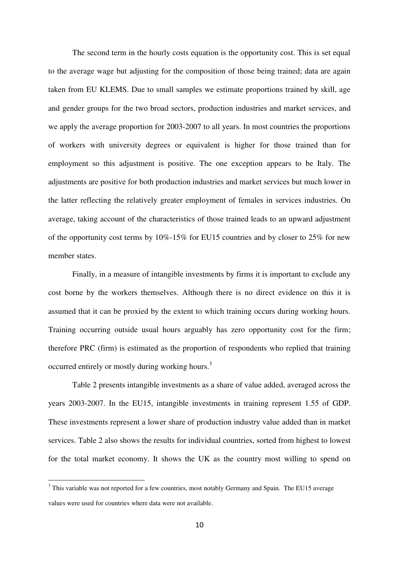The second term in the hourly costs equation is the opportunity cost. This is set equal to the average wage but adjusting for the composition of those being trained; data are again taken from EU KLEMS. Due to small samples we estimate proportions trained by skill, age and gender groups for the two broad sectors, production industries and market services, and we apply the average proportion for 2003-2007 to all years. In most countries the proportions of workers with university degrees or equivalent is higher for those trained than for employment so this adjustment is positive. The one exception appears to be Italy. The adjustments are positive for both production industries and market services but much lower in the latter reflecting the relatively greater employment of females in services industries. On average, taking account of the characteristics of those trained leads to an upward adjustment of the opportunity cost terms by 10%-15% for EU15 countries and by closer to 25% for new member states.

Finally, in a measure of intangible investments by firms it is important to exclude any cost borne by the workers themselves. Although there is no direct evidence on this it is assumed that it can be proxied by the extent to which training occurs during working hours. Training occurring outside usual hours arguably has zero opportunity cost for the firm; therefore PRC (firm) is estimated as the proportion of respondents who replied that training occurred entirely or mostly during working hours.<sup>3</sup>

Table 2 presents intangible investments as a share of value added, averaged across the years 2003-2007. In the EU15, intangible investments in training represent 1.55 of GDP. These investments represent a lower share of production industry value added than in market services. Table 2 also shows the results for individual countries, sorted from highest to lowest for the total market economy. It shows the UK as the country most willing to spend on

1

<sup>&</sup>lt;sup>3</sup> This variable was not reported for a few countries, most notably Germany and Spain. The EU15 average values were used for countries where data were not available.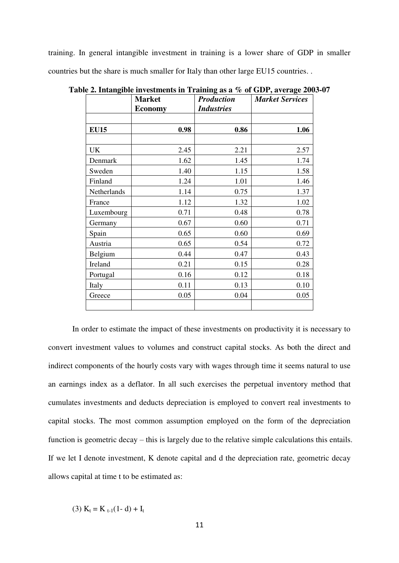training. In general intangible investment in training is a lower share of GDP in smaller countries but the share is much smaller for Italy than other large EU15 countries. .

|             | <b>Market</b>  | -- <del>-</del> -- -- - - -<br><b>Production</b> | <b>Market Services</b> |
|-------------|----------------|--------------------------------------------------|------------------------|
|             | <b>Economy</b> | <b>Industries</b>                                |                        |
|             |                |                                                  |                        |
| <b>EU15</b> | 0.98           | 0.86                                             | 1.06                   |
|             |                |                                                  |                        |
| UK          | 2.45           | 2.21                                             | 2.57                   |
| Denmark     | 1.62           | 1.45                                             | 1.74                   |
| Sweden      | 1.40           | 1.15                                             | 1.58                   |
| Finland     | 1.24           | 1.01                                             | 1.46                   |
| Netherlands | 1.14           | 0.75                                             | 1.37                   |
| France      | 1.12           | 1.32                                             | 1.02                   |
| Luxembourg  | 0.71           | 0.48                                             | 0.78                   |
| Germany     | 0.67           | 0.60                                             | 0.71                   |
| Spain       | 0.65           | 0.60                                             | 0.69                   |
| Austria     | 0.65           | 0.54                                             | 0.72                   |
| Belgium     | 0.44           | 0.47                                             | 0.43                   |
| Ireland     | 0.21           | 0.15                                             | 0.28                   |
| Portugal    | 0.16           | 0.12                                             | 0.18                   |
| Italy       | 0.11           | 0.13                                             | 0.10                   |
| Greece      | 0.05           | 0.04                                             | 0.05                   |
|             |                |                                                  |                        |

**Table 2. Intangible investments in Training as a % of GDP, average 2003-07** 

In order to estimate the impact of these investments on productivity it is necessary to convert investment values to volumes and construct capital stocks. As both the direct and indirect components of the hourly costs vary with wages through time it seems natural to use an earnings index as a deflator. In all such exercises the perpetual inventory method that cumulates investments and deducts depreciation is employed to convert real investments to capital stocks. The most common assumption employed on the form of the depreciation function is geometric decay – this is largely due to the relative simple calculations this entails. If we let I denote investment, K denote capital and d the depreciation rate, geometric decay allows capital at time t to be estimated as:

(3) 
$$
K_t = K_{t-1}(1-d) + I_t
$$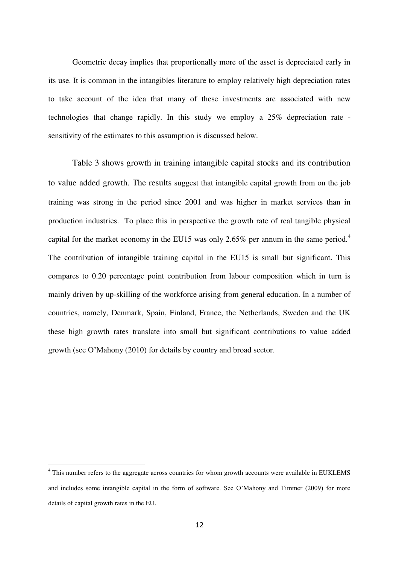Geometric decay implies that proportionally more of the asset is depreciated early in its use. It is common in the intangibles literature to employ relatively high depreciation rates to take account of the idea that many of these investments are associated with new technologies that change rapidly. In this study we employ a 25% depreciation rate sensitivity of the estimates to this assumption is discussed below.

Table 3 shows growth in training intangible capital stocks and its contribution to value added growth. The results suggest that intangible capital growth from on the job training was strong in the period since 2001 and was higher in market services than in production industries. To place this in perspective the growth rate of real tangible physical capital for the market economy in the EU15 was only 2.65% per annum in the same period.<sup>4</sup> The contribution of intangible training capital in the EU15 is small but significant. This compares to 0.20 percentage point contribution from labour composition which in turn is mainly driven by up-skilling of the workforce arising from general education. In a number of countries, namely, Denmark, Spain, Finland, France, the Netherlands, Sweden and the UK these high growth rates translate into small but significant contributions to value added growth (see O'Mahony (2010) for details by country and broad sector.

1

<sup>&</sup>lt;sup>4</sup> This number refers to the aggregate across countries for whom growth accounts were available in EUKLEMS and includes some intangible capital in the form of software. See O'Mahony and Timmer (2009) for more details of capital growth rates in the EU.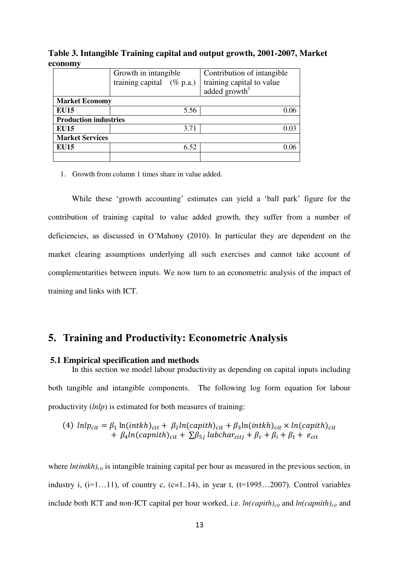**Table 3. Intangible Training capital and output growth, 2001-2007, Market economy** 

|                              | Growth in intangible         | Contribution of intangible |  |  |
|------------------------------|------------------------------|----------------------------|--|--|
|                              | training capital $(\%$ p.a.) | training capital to value  |  |  |
|                              |                              | added $\text{growth}^1$    |  |  |
| <b>Market Economy</b>        |                              |                            |  |  |
| <b>EU15</b>                  | 5.56                         |                            |  |  |
| <b>Production industries</b> |                              |                            |  |  |
| <b>EU15</b>                  | 3.71                         |                            |  |  |
| <b>Market Services</b>       |                              |                            |  |  |
| <b>EU15</b>                  | 6.52                         |                            |  |  |
|                              |                              |                            |  |  |

1. Growth from column 1 times share in value added.

While these 'growth accounting' estimates can yield a 'ball park' figure for the contribution of training capital to value added growth, they suffer from a number of deficiencies, as discussed in O'Mahony (2010). In particular they are dependent on the market clearing assumptions underlying all such exercises and cannot take account of complementarities between inputs. We now turn to an econometric analysis of the impact of training and links with ICT.

# **5. Training and Productivity: Econometric Analysis**

#### **5.1 Empirical specification and methods**

In this section we model labour productivity as depending on capital inputs including both tangible and intangible components. The following log form equation for labour productivity (*lnlp*) is estimated for both measures of training:

(4) 
$$
lnlp_{cit} = \beta_1 ln(intkh)_{cit} + \beta_2 ln(capith)_{cit} + \beta_3 ln(intkh)_{cit} \times ln(capith)_{cit}
$$
  
+  $\beta_4 ln(capnith)_{cit} + \sum \beta_{5j} labchar_{citj} + \beta_c + \beta_i + \beta_t + e_{cit}$ 

where  $ln(intkh)_{ci}$  is intangible training capital per hour as measured in the previous section, in industry i,  $(i=1...11)$ , of country c,  $(c=1..14)$ , in year t,  $(t=1995...2007)$ . Control variables include both ICT and non-ICT capital per hour worked, i.e. *ln(capith)cit* and *ln(capnith)cit* and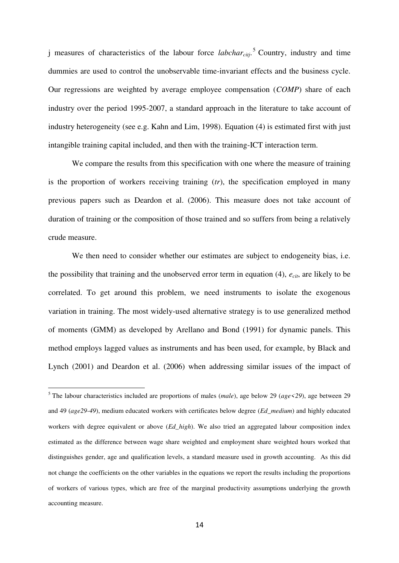j measures of characteristics of the labour force *labcharcitj*. 5 Country, industry and time dummies are used to control the unobservable time-invariant effects and the business cycle. Our regressions are weighted by average employee compensation (*COMP*) share of each industry over the period 1995-2007, a standard approach in the literature to take account of industry heterogeneity (see e.g. Kahn and Lim, 1998). Equation (4) is estimated first with just intangible training capital included, and then with the training-ICT interaction term.

We compare the results from this specification with one where the measure of training is the proportion of workers receiving training (*tr*), the specification employed in many previous papers such as Deardon et al. (2006). This measure does not take account of duration of training or the composition of those trained and so suffers from being a relatively crude measure.

We then need to consider whether our estimates are subject to endogeneity bias, i.e. the possibility that training and the unobserved error term in equation  $(4)$ ,  $e_{\text{crit}}$ , are likely to be correlated. To get around this problem, we need instruments to isolate the exogenous variation in training. The most widely-used alternative strategy is to use generalized method of moments (GMM) as developed by Arellano and Bond (1991) for dynamic panels. This method employs lagged values as instruments and has been used, for example, by Black and Lynch (2001) and Deardon et al. (2006) when addressing similar issues of the impact of

1

<sup>5</sup> The labour characteristics included are proportions of males (*male*), age below 29 (*age<29*), age between 29 and 49 (*age29-49*), medium educated workers with certificates below degree (*Ed*\_*medium*) and highly educated workers with degree equivalent or above (*Ed\_high*). We also tried an aggregated labour composition index estimated as the difference between wage share weighted and employment share weighted hours worked that distinguishes gender, age and qualification levels, a standard measure used in growth accounting. As this did not change the coefficients on the other variables in the equations we report the results including the proportions of workers of various types, which are free of the marginal productivity assumptions underlying the growth accounting measure.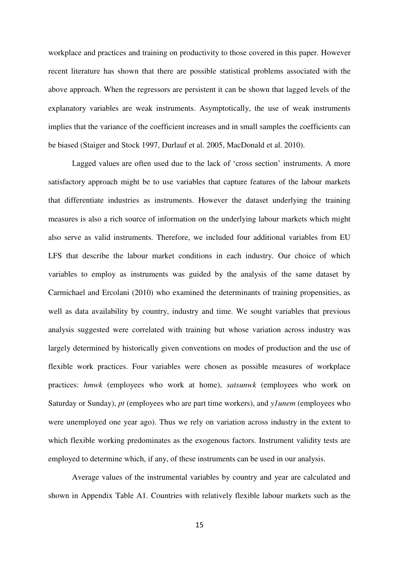workplace and practices and training on productivity to those covered in this paper. However recent literature has shown that there are possible statistical problems associated with the above approach. When the regressors are persistent it can be shown that lagged levels of the explanatory variables are weak instruments. Asymptotically, the use of weak instruments implies that the variance of the coefficient increases and in small samples the coefficients can be biased (Staiger and Stock 1997, Durlauf et al. 2005, MacDonald et al. 2010).

Lagged values are often used due to the lack of 'cross section' instruments. A more satisfactory approach might be to use variables that capture features of the labour markets that differentiate industries as instruments. However the dataset underlying the training measures is also a rich source of information on the underlying labour markets which might also serve as valid instruments. Therefore, we included four additional variables from EU LFS that describe the labour market conditions in each industry. Our choice of which variables to employ as instruments was guided by the analysis of the same dataset by Carmichael and Ercolani (2010) who examined the determinants of training propensities, as well as data availability by country, industry and time. We sought variables that previous analysis suggested were correlated with training but whose variation across industry was largely determined by historically given conventions on modes of production and the use of flexible work practices. Four variables were chosen as possible measures of workplace practices: *hmwk* (employees who work at home), *satsunwk* (employees who work on Saturday or Sunday), *pt* (employees who are part time workers), and *y1unem* (employees who were unemployed one year ago). Thus we rely on variation across industry in the extent to which flexible working predominates as the exogenous factors. Instrument validity tests are employed to determine which, if any, of these instruments can be used in our analysis.

Average values of the instrumental variables by country and year are calculated and shown in Appendix Table A1. Countries with relatively flexible labour markets such as the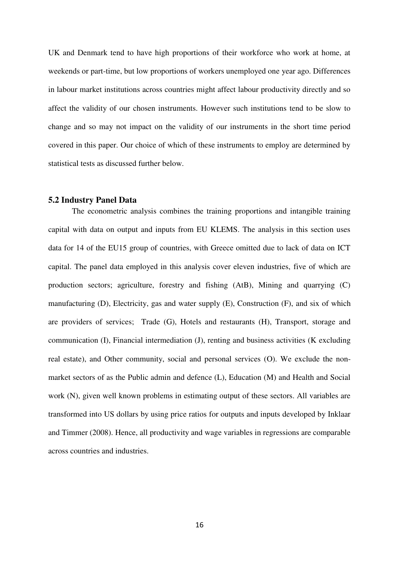UK and Denmark tend to have high proportions of their workforce who work at home, at weekends or part-time, but low proportions of workers unemployed one year ago. Differences in labour market institutions across countries might affect labour productivity directly and so affect the validity of our chosen instruments. However such institutions tend to be slow to change and so may not impact on the validity of our instruments in the short time period covered in this paper. Our choice of which of these instruments to employ are determined by statistical tests as discussed further below.

#### **5.2 Industry Panel Data**

The econometric analysis combines the training proportions and intangible training capital with data on output and inputs from EU KLEMS. The analysis in this section uses data for 14 of the EU15 group of countries, with Greece omitted due to lack of data on ICT capital. The panel data employed in this analysis cover eleven industries, five of which are production sectors; agriculture, forestry and fishing (AtB), Mining and quarrying (C) manufacturing (D), Electricity, gas and water supply (E), Construction (F), and six of which are providers of services; Trade (G), Hotels and restaurants (H), Transport, storage and communication (I), Financial intermediation (J), renting and business activities (K excluding real estate), and Other community, social and personal services (O). We exclude the nonmarket sectors of as the Public admin and defence (L), Education (M) and Health and Social work (N), given well known problems in estimating output of these sectors. All variables are transformed into US dollars by using price ratios for outputs and inputs developed by Inklaar and Timmer (2008). Hence, all productivity and wage variables in regressions are comparable across countries and industries.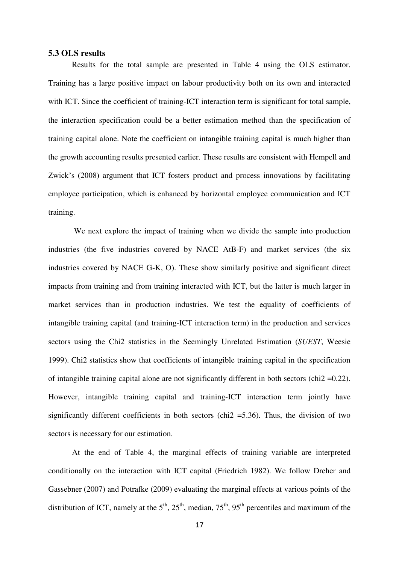#### **5.3 OLS results**

Results for the total sample are presented in Table 4 using the OLS estimator. Training has a large positive impact on labour productivity both on its own and interacted with ICT. Since the coefficient of training-ICT interaction term is significant for total sample, the interaction specification could be a better estimation method than the specification of training capital alone. Note the coefficient on intangible training capital is much higher than the growth accounting results presented earlier. These results are consistent with Hempell and Zwick's (2008) argument that ICT fosters product and process innovations by facilitating employee participation, which is enhanced by horizontal employee communication and ICT training.

 We next explore the impact of training when we divide the sample into production industries (the five industries covered by NACE AtB-F) and market services (the six industries covered by NACE G-K, O). These show similarly positive and significant direct impacts from training and from training interacted with ICT, but the latter is much larger in market services than in production industries. We test the equality of coefficients of intangible training capital (and training-ICT interaction term) in the production and services sectors using the Chi2 statistics in the Seemingly Unrelated Estimation (*SUEST*, Weesie 1999). Chi2 statistics show that coefficients of intangible training capital in the specification of intangible training capital alone are not significantly different in both sectors (chi2 =0.22). However, intangible training capital and training-ICT interaction term jointly have significantly different coefficients in both sectors (chi<sub>2</sub> = 5.36). Thus, the division of two sectors is necessary for our estimation.

At the end of Table 4, the marginal effects of training variable are interpreted conditionally on the interaction with ICT capital (Friedrich 1982). We follow Dreher and Gassebner (2007) and Potrafke (2009) evaluating the marginal effects at various points of the distribution of ICT, namely at the  $5<sup>th</sup>$ ,  $25<sup>th</sup>$ , median,  $75<sup>th</sup>$ ,  $95<sup>th</sup>$  percentiles and maximum of the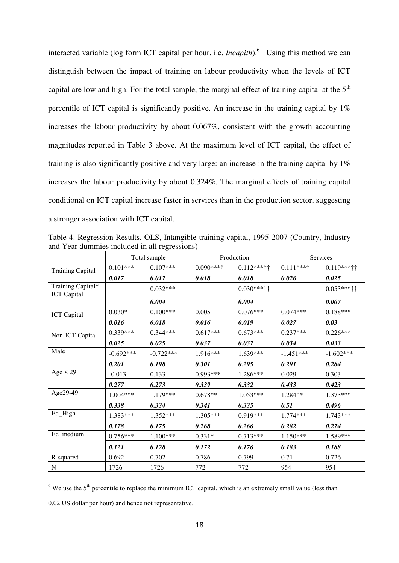interacted variable (log form ICT capital per hour, i.e. *lncapith*).<sup>6</sup> Using this method we can distinguish between the impact of training on labour productivity when the levels of ICT capital are low and high. For the total sample, the marginal effect of training capital at the  $5<sup>th</sup>$ percentile of ICT capital is significantly positive. An increase in the training capital by 1% increases the labour productivity by about 0.067%, consistent with the growth accounting magnitudes reported in Table 3 above. At the maximum level of ICT capital, the effect of training is also significantly positive and very large: an increase in the training capital by 1% increases the labour productivity by about 0.324%. The marginal effects of training capital conditional on ICT capital increase faster in services than in the production sector, suggesting a stronger association with ICT capital.

| Table 4. Regression Results. OLS, Intangible training capital, 1995-2007 (Country, Industry |  |  |  |
|---------------------------------------------------------------------------------------------|--|--|--|
| and Year dummies included in all regressions)                                               |  |  |  |
|                                                                                             |  |  |  |

|                         | Total sample |             |              | Production    |             | Services      |  |
|-------------------------|--------------|-------------|--------------|---------------|-------------|---------------|--|
| <b>Training Capital</b> | $0.101***$   | $0.107***$  | $0.090***$ † | $0.112***$ †† | $0.111***$  | $0.119***$ †† |  |
|                         | 0.017        | 0.017       | 0.018        | 0.018         | 0.026       | 0.025         |  |
| Training Capital*       |              | $0.032***$  |              | $0.030***$ †† |             | $0.053***$    |  |
| <b>ICT</b> Capital      |              | 0.004       |              | 0.004         |             | 0.007         |  |
| <b>ICT</b> Capital      | $0.030*$     | $0.100***$  | 0.005        | $0.076***$    | $0.074***$  | $0.188***$    |  |
|                         | 0.016        | 0.018       | 0.016        | 0.019         | 0.027       | 0.03          |  |
| Non-ICT Capital         | $0.339***$   | $0.344***$  | $0.617***$   | $0.673***$    | $0.237***$  | $0.226***$    |  |
|                         | 0.025        | 0.025       | 0.037        | 0.037         | 0.034       | 0.033         |  |
| Male                    | $-0.692***$  | $-0.722***$ | 1.916***     | $1.639***$    | $-1.451***$ | $-1.602***$   |  |
|                         | 0.201        | 0.198       | 0.301        | 0.295         | 0.291       | 0.284         |  |
| Age $\leq$ 29           | $-0.013$     | 0.133       | $0.993***$   | 1.286***      | 0.029       | 0.303         |  |
|                         | 0.277        | 0.273       | 0.339        | 0.332         | 0.433       | 0.423         |  |
| Age29-49                | $1.004***$   | $1.179***$  | $0.678**$    | $1.053***$    | $1.284**$   | $1.373***$    |  |
|                         | 0.338        | 0.334       | 0.341        | 0.335         | 0.51        | 0.496         |  |
| Ed_High                 | 1.383***     | $1.352***$  | 1.305***     | $0.919***$    | $1.774***$  | $1.743***$    |  |
|                         | 0.178        | 0.175       | 0.268        | 0.266         | 0.282       | 0.274         |  |
| Ed_medium               | $0.756***$   | $1.100***$  | $0.331*$     | $0.713***$    | $1.150***$  | 1.589***      |  |
|                         | 0.121        | 0.128       | 0.172        | 0.176         | 0.183       | 0.188         |  |
| R-squared               | 0.692        | 0.702       | 0.786        | 0.799         | 0.71        | 0.726         |  |
| N                       | 1726         | 1726        | 772          | 772           | 954         | 954           |  |

 $6$  We use the  $5<sup>th</sup>$  percentile to replace the minimum ICT capital, which is an extremely small value (less than

0.02 US dollar per hour) and hence not representative.

1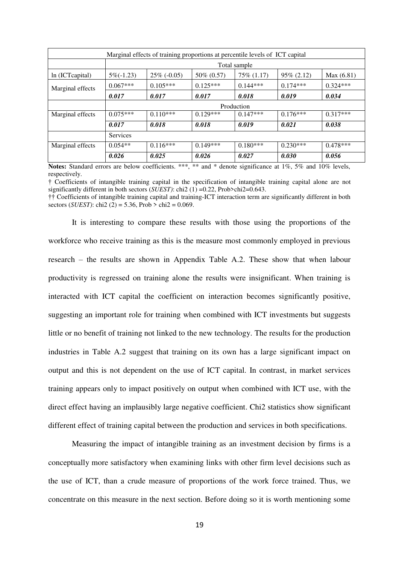| Marginal effects of training proportions at percentile levels of ICT capital |              |                |             |                 |               |            |  |  |  |  |
|------------------------------------------------------------------------------|--------------|----------------|-------------|-----------------|---------------|------------|--|--|--|--|
|                                                                              |              | Total sample   |             |                 |               |            |  |  |  |  |
| ln (ICT capital)                                                             | $5\%(-1.23)$ | $25\%$ (-0.05) | 50\% (0.57) | $75\%$ $(1.17)$ | $95\% (2.12)$ | Max(6.81)  |  |  |  |  |
| Marginal effects                                                             | $0.067***$   | $0.105***$     | $0.125***$  | $0.144***$      | $0.174***$    | $0.324***$ |  |  |  |  |
|                                                                              | 0.017        | 0.017          | 0.017       | 0.018           | 0.019         | 0.034      |  |  |  |  |
|                                                                              |              |                |             | Production      |               |            |  |  |  |  |
| Marginal effects                                                             | $0.075***$   | $0.110***$     | $0.129***$  | $0.147***$      | $0.176***$    | $0.317***$ |  |  |  |  |
|                                                                              | 0.017        | 0.018          | 0.018       | 0.019           | 0.021         | 0.038      |  |  |  |  |
|                                                                              | Services     |                |             |                 |               |            |  |  |  |  |
| Marginal effects                                                             | $0.054**$    | $0.116***$     | $0.149***$  | $0.180***$      | $0.230***$    | $0.478***$ |  |  |  |  |
|                                                                              | 0.026        | 0.025          | 0.026       | 0.027           | 0.030         | 0.056      |  |  |  |  |

**Notes:** Standard errors are below coefficients. \*\*\*, \*\* and \* denote significance at 1%, 5% and 10% levels, respectively.

† Coefficients of intangible training capital in the specification of intangible training capital alone are not significantly different in both sectors (*SUEST)*: chi2 (1) =0.22, Prob>chi2=0.643.

†† Coefficients of intangible training capital and training-ICT interaction term are significantly different in both sectors (*SUEST)*: chi2 (2) = 5.36, Prob > chi2 = 0.069.

It is interesting to compare these results with those using the proportions of the workforce who receive training as this is the measure most commonly employed in previous research – the results are shown in Appendix Table A.2. These show that when labour productivity is regressed on training alone the results were insignificant. When training is interacted with ICT capital the coefficient on interaction becomes significantly positive, suggesting an important role for training when combined with ICT investments but suggests little or no benefit of training not linked to the new technology. The results for the production industries in Table A.2 suggest that training on its own has a large significant impact on output and this is not dependent on the use of ICT capital. In contrast, in market services training appears only to impact positively on output when combined with ICT use, with the direct effect having an implausibly large negative coefficient. Chi2 statistics show significant different effect of training capital between the production and services in both specifications.

Measuring the impact of intangible training as an investment decision by firms is a conceptually more satisfactory when examining links with other firm level decisions such as the use of ICT, than a crude measure of proportions of the work force trained. Thus, we concentrate on this measure in the next section. Before doing so it is worth mentioning some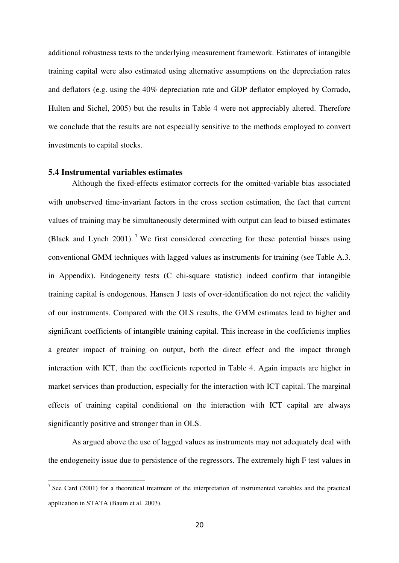additional robustness tests to the underlying measurement framework. Estimates of intangible training capital were also estimated using alternative assumptions on the depreciation rates and deflators (e.g. using the 40% depreciation rate and GDP deflator employed by Corrado, Hulten and Sichel, 2005) but the results in Table 4 were not appreciably altered. Therefore we conclude that the results are not especially sensitive to the methods employed to convert investments to capital stocks.

## **5.4 Instrumental variables estimates**

1

Although the fixed-effects estimator corrects for the omitted-variable bias associated with unobserved time-invariant factors in the cross section estimation, the fact that current values of training may be simultaneously determined with output can lead to biased estimates (Black and Lynch 2001).<sup>7</sup> We first considered correcting for these potential biases using conventional GMM techniques with lagged values as instruments for training (see Table A.3. in Appendix). Endogeneity tests (C chi-square statistic) indeed confirm that intangible training capital is endogenous. Hansen J tests of over-identification do not reject the validity of our instruments. Compared with the OLS results, the GMM estimates lead to higher and significant coefficients of intangible training capital. This increase in the coefficients implies a greater impact of training on output, both the direct effect and the impact through interaction with ICT, than the coefficients reported in Table 4. Again impacts are higher in market services than production, especially for the interaction with ICT capital. The marginal effects of training capital conditional on the interaction with ICT capital are always significantly positive and stronger than in OLS.

As argued above the use of lagged values as instruments may not adequately deal with the endogeneity issue due to persistence of the regressors. The extremely high F test values in

<sup>&</sup>lt;sup>7</sup> See Card (2001) for a theoretical treatment of the interpretation of instrumented variables and the practical application in STATA (Baum et al. 2003).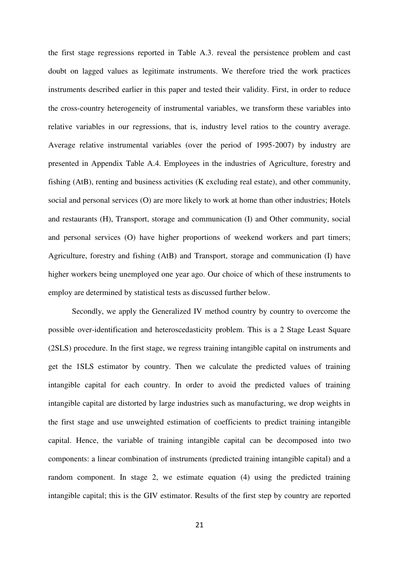the first stage regressions reported in Table A.3. reveal the persistence problem and cast doubt on lagged values as legitimate instruments. We therefore tried the work practices instruments described earlier in this paper and tested their validity. First, in order to reduce the cross-country heterogeneity of instrumental variables, we transform these variables into relative variables in our regressions, that is, industry level ratios to the country average. Average relative instrumental variables (over the period of 1995-2007) by industry are presented in Appendix Table A.4. Employees in the industries of Agriculture, forestry and fishing (AtB), renting and business activities (K excluding real estate), and other community, social and personal services (O) are more likely to work at home than other industries; Hotels and restaurants (H), Transport, storage and communication (I) and Other community, social and personal services (O) have higher proportions of weekend workers and part timers; Agriculture, forestry and fishing (AtB) and Transport, storage and communication (I) have higher workers being unemployed one year ago. Our choice of which of these instruments to employ are determined by statistical tests as discussed further below.

Secondly, we apply the Generalized IV method country by country to overcome the possible over-identification and heteroscedasticity problem. This is a 2 Stage Least Square (2SLS) procedure. In the first stage, we regress training intangible capital on instruments and get the 1SLS estimator by country. Then we calculate the predicted values of training intangible capital for each country. In order to avoid the predicted values of training intangible capital are distorted by large industries such as manufacturing, we drop weights in the first stage and use unweighted estimation of coefficients to predict training intangible capital. Hence, the variable of training intangible capital can be decomposed into two components: a linear combination of instruments (predicted training intangible capital) and a random component. In stage 2, we estimate equation (4) using the predicted training intangible capital; this is the GIV estimator. Results of the first step by country are reported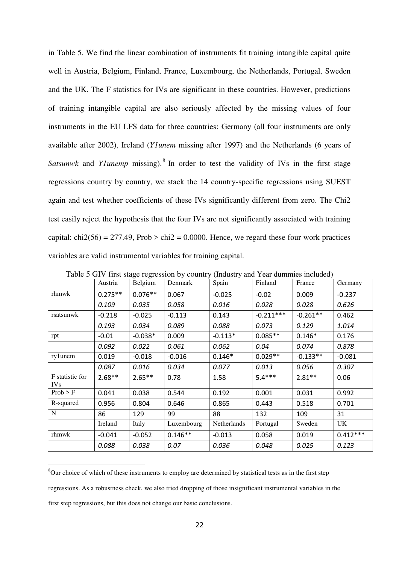in Table 5. We find the linear combination of instruments fit training intangible capital quite well in Austria, Belgium, Finland, France, Luxembourg, the Netherlands, Portugal, Sweden and the UK. The F statistics for IVs are significant in these countries. However, predictions of training intangible capital are also seriously affected by the missing values of four instruments in the EU LFS data for three countries: Germany (all four instruments are only available after 2002), Ireland (*Y1unem* missing after 1997) and the Netherlands (6 years of Satsunwk and *Ylunemp* missing).<sup>8</sup> In order to test the validity of IVs in the first stage regressions country by country, we stack the 14 country-specific regressions using SUEST again and test whether coefficients of these IVs significantly different from zero. The Chi2 test easily reject the hypothesis that the four IVs are not significantly associated with training capital: chi2(56) = 277.49, Prob > chi2 = 0.0000. Hence, we regard these four work practices variables are valid instrumental variables for training capital.

|                         | Austria   | 0---0--<br>Belgium | Denmark    | Spain       | Finland     | France     | Germany    |
|-------------------------|-----------|--------------------|------------|-------------|-------------|------------|------------|
| rhmwk                   | $0.275**$ | $0.076**$          | 0.067      | $-0.025$    | $-0.02$     | 0.009      | $-0.237$   |
|                         | 0.109     | 0.035              | 0.058      | 0.016       | 0.028       | 0.028      | 0.626      |
| rsatsunwk               | $-0.218$  | $-0.025$           | $-0.113$   | 0.143       | $-0.211***$ | $-0.261**$ | 0.462      |
|                         | 0.193     | 0.034              | 0.089      | 0.088       | 0.073       | 0.129      | 1.014      |
| rpt                     | $-0.01$   | $-0.038*$          | 0.009      | $-0.113*$   | $0.085**$   | $0.146*$   | 0.176      |
|                         | 0.092     | 0.022              | 0.061      | 0.062       | 0.04        | 0.074      | 0.878      |
| rylunem                 | 0.019     | $-0.018$           | $-0.016$   | $0.146*$    | $0.029**$   | $-0.133**$ | $-0.081$   |
|                         | 0.087     | 0.016              | 0.034      | 0.077       | 0.013       | 0.056      | 0.307      |
| F statistic for<br>IVs. | $2.68**$  | $2.65***$          | 0.78       | 1.58        | $5.4***$    | $2.81***$  | 0.06       |
| Prob > F                | 0.041     | 0.038              | 0.544      | 0.192       | 0.001       | 0.031      | 0.992      |
| R-squared               | 0.956     | 0.804              | 0.646      | 0.865       | 0.443       | 0.518      | 0.701      |
| ${\bf N}$               | 86        | 129                | 99         | 88          | 132         | 109        | 31         |
|                         | Ireland   | Italy              | Luxembourg | Netherlands | Portugal    | Sweden     | UK         |
| rhmwk                   | $-0.041$  | $-0.052$           | $0.146**$  | $-0.013$    | 0.058       | 0.019      | $0.412***$ |
|                         | 0.088     | 0.038              | 0.07       | 0.036       | 0.048       | 0.025      | 0.123      |

Table 5 GIV first stage regression by country (Industry and Year dummies included)

1

<sup>&</sup>lt;sup>8</sup>Our choice of which of these instruments to employ are determined by statistical tests as in the first step regressions. As a robustness check, we also tried dropping of those insignificant instrumental variables in the first step regressions, but this does not change our basic conclusions.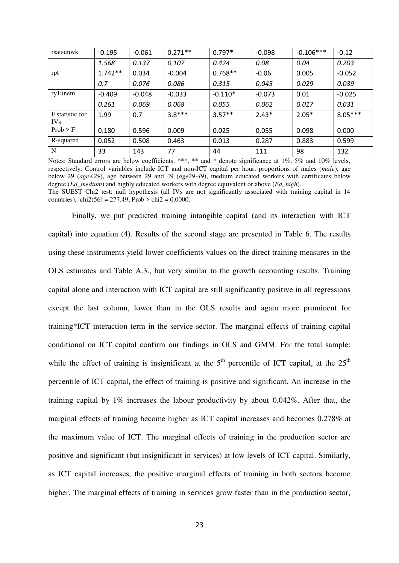| rsatsunwk                          | $-0.195$  | $-0.061$ | $0.271**$ | $0.797*$  | $-0.098$ | $-0.106***$ | $-0.12$   |
|------------------------------------|-----------|----------|-----------|-----------|----------|-------------|-----------|
|                                    | 1.568     | 0.137    | 0.107     | 0.424     | 0.08     | 0.04        | 0.203     |
| rpt                                | $1.742**$ | 0.034    | $-0.004$  | $0.768**$ | $-0.06$  | 0.005       | $-0.052$  |
|                                    | 0.7       | 0.076    | 0.086     | 0.315     | 0.045    | 0.029       | 0.039     |
| ry1unem                            | $-0.409$  | $-0.048$ | $-0.033$  | $-0.110*$ | $-0.073$ | 0.01        | $-0.025$  |
|                                    | 0.261     | 0.069    | 0.068     | 0.055     | 0.062    | 0.017       | 0.031     |
| F statistic for<br>IV <sub>s</sub> | 1.99      | 0.7      | $3.8***$  | $3.57**$  | $2.43*$  | $2.05*$     | $8.05***$ |
| Prob > F                           | 0.180     | 0.596    | 0.009     | 0.025     | 0.055    | 0.098       | 0.000     |
| R-squared                          | 0.052     | 0.508    | 0.463     | 0.013     | 0.287    | 0.883       | 0.599     |
| $\mathbf N$                        | 33        | 143      | 77        | 44        | 111      | 98          | 132       |

Notes: Standard errors are below coefficients. \*\*\*, \*\* and \* denote significance at 1%, 5% and 10% levels, respectively. Control variables include ICT and non-ICT capital per hour, proportions of males (*male*), age below 29 (*age<29*), age between 29 and 49 (*age29-49*), medium educated workers with certificates below degree (*Ed*\_*medium*) and highly educated workers with degree equivalent or above (*Ed\_high*). The SUEST Chi2 test: null hypothesis (all IVs are not significantly associated with training capital in 14 countries),  $chi2(56) = 277.49$ ,  $Prob > chi2 = 0.0000$ .

Finally, we put predicted training intangible capital (and its interaction with ICT capital) into equation (4). Results of the second stage are presented in Table 6. The results using these instruments yield lower coefficients values on the direct training measures in the OLS estimates and Table A.3., but very similar to the growth accounting results. Training capital alone and interaction with ICT capital are still significantly positive in all regressions except the last column, lower than in the OLS results and again more prominent for training\*ICT interaction term in the service sector. The marginal effects of training capital conditional on ICT capital confirm our findings in OLS and GMM. For the total sample: while the effect of training is insignificant at the  $5<sup>th</sup>$  percentile of ICT capital, at the  $25<sup>th</sup>$ percentile of ICT capital, the effect of training is positive and significant. An increase in the training capital by 1% increases the labour productivity by about 0.042%. After that, the marginal effects of training become higher as ICT capital increases and becomes 0.278% at the maximum value of ICT. The marginal effects of training in the production sector are positive and significant (but insignificant in services) at low levels of ICT capital. Similarly, as ICT capital increases, the positive marginal effects of training in both sectors become higher. The marginal effects of training in services grow faster than in the production sector,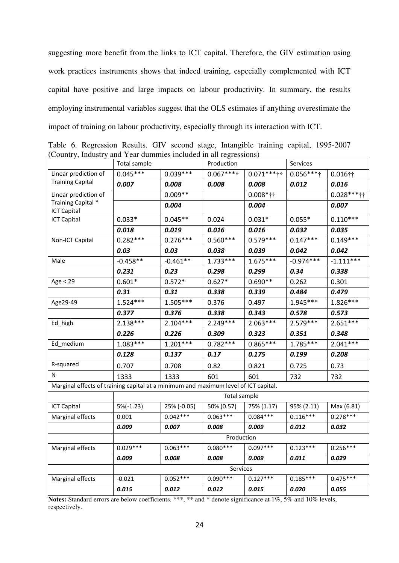suggesting more benefit from the links to ICT capital. Therefore, the GIV estimation using work practices instruments shows that indeed training, especially complemented with ICT capital have positive and large impacts on labour productivity. In summary, the results employing instrumental variables suggest that the OLS estimates if anything overestimate the impact of training on labour productivity, especially through its interaction with ICT.

Table 6. Regression Results. GIV second stage, Intangible training capital, 1995-2007 (Country, Industry and Year dummies included in all regressions)

|                                                                                     | Total sample |             | Production   |               | Services     |                |
|-------------------------------------------------------------------------------------|--------------|-------------|--------------|---------------|--------------|----------------|
| Linear prediction of                                                                | $0.045***$   | $0.039***$  | $0.067***$ † | $0.071***$ ij | $0.056***$ † | $0.016$ ††     |
| <b>Training Capital</b>                                                             | 0.007        | 0.008       | 0.008        | 0.008         | 0.012        | 0.016          |
| Linear prediction of                                                                |              | $0.009**$   |              | $0.008*$ ††   |              | $0.028***$ *** |
| Training Capital *<br><b>ICT Capital</b>                                            |              | 0.004       |              | 0.004         |              | 0.007          |
| <b>ICT Capital</b>                                                                  | $0.033*$     | $0.045**$   | 0.024        | $0.031*$      | $0.055*$     | $0.110***$     |
|                                                                                     | 0.018        | 0.019       | 0.016        | 0.016         | 0.032        | 0.035          |
| Non-ICT Capital                                                                     | $0.282***$   | $0.276***$  | $0.560***$   | $0.579***$    | $0.147***$   | $0.149***$     |
|                                                                                     | 0.03         | 0.03        | 0.038        | 0.039         | 0.042        | 0.042          |
| Male                                                                                | $-0.458**$   | $-0.461**$  | $1.733***$   | $1.675***$    | $-0.974***$  | $-1.111***$    |
|                                                                                     | 0.231        | 0.23        | 0.298        | 0.299         | 0.34         | 0.338          |
| Age < 29                                                                            | $0.601*$     | $0.572*$    | $0.627*$     | $0.690**$     | 0.262        | 0.301          |
|                                                                                     | 0.31         | 0.31        | 0.338        | 0.339         | 0.484        | 0.479          |
| Age29-49                                                                            | $1.524***$   | $1.505***$  | 0.376        | 0.497         | 1.945***     | $1.826***$     |
|                                                                                     | 0.377        | 0.376       | 0.338        | 0.343         | 0.578        | 0.573          |
| Ed_high                                                                             | $2.138***$   | $2.104***$  | $2.249***$   | $2.063***$    | $2.579***$   | $2.651***$     |
|                                                                                     | 0.226        | 0.226       | 0.309        | 0.323         | 0.351        | 0.348          |
| Ed_medium                                                                           | $1.083***$   | $1.201***$  | $0.782***$   | $0.865***$    | $1.785***$   | $2.041***$     |
|                                                                                     | 0.128        | 0.137       | 0.17         | 0.175         | 0.199        | 0.208          |
| R-squared                                                                           | 0.707        | 0.708       | 0.82         | 0.821         | 0.725        | 0.73           |
| Ν                                                                                   | 1333         | 1333        | 601          | 601           | 732          | 732            |
| Marginal effects of training capital at a minimum and maximum level of ICT capital. |              |             |              |               |              |                |
|                                                                                     |              |             | Total sample |               |              |                |
| <b>ICT Capital</b>                                                                  | $5\%(-1.23)$ | 25% (-0.05) | 50% (0.57)   | 75% (1.17)    | 95% (2.11)   | Max (6.81)     |
| Marginal effects                                                                    | 0.001        | $0.042***$  | $0.063***$   | $0.084***$    | $0.116***$   | $0.278***$     |
|                                                                                     | 0.009        | 0.007       | 0.008        | 0.009         | 0.012        | 0.032          |
|                                                                                     |              |             | Production   |               |              |                |
| Marginal effects                                                                    | $0.029***$   | $0.063***$  | $0.080***$   | $0.097***$    | $0.123***$   | $0.256***$     |
|                                                                                     | 0.009        | 0.008       | 0.008        | 0.009         | 0.011        | 0.029          |
|                                                                                     |              |             | Services     |               |              |                |
| Marginal effects                                                                    | $-0.021$     | $0.052***$  | $0.090***$   | $0.127***$    | $0.185***$   | $0.475***$     |
|                                                                                     | 0.015        | 0.012       | 0.012        | 0.015         | 0.020        | 0.055          |

Notes: Standard errors are below coefficients. \*\*\*, \*\* and \* denote significance at 1%, 5% and 10% levels, respectively.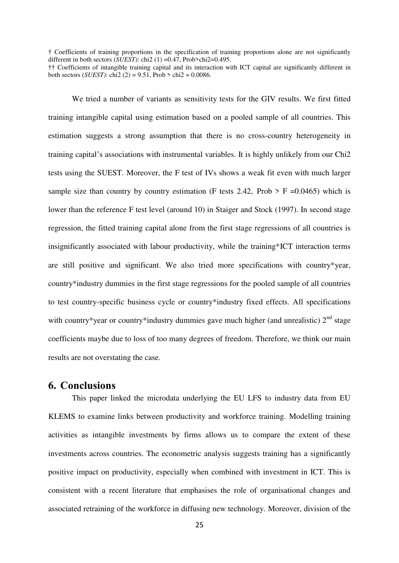† Coefficients of training proportions in the specification of training proportions alone are not significantly different in both sectors (*SUEST)*: chi2 (1) =0.47, Prob>chi2=0.495.

We tried a number of variants as sensitivity tests for the GIV results. We first fitted training intangible capital using estimation based on a pooled sample of all countries. This estimation suggests a strong assumption that there is no cross-country heterogeneity in training capital's associations with instrumental variables. It is highly unlikely from our Chi2 tests using the SUEST. Moreover, the F test of IVs shows a weak fit even with much larger sample size than country by country estimation (F tests 2.42, Prob  $>$  F =0.0465) which is lower than the reference F test level (around 10) in Staiger and Stock (1997). In second stage regression, the fitted training capital alone from the first stage regressions of all countries is insignificantly associated with labour productivity, while the training\*ICT interaction terms are still positive and significant. We also tried more specifications with country\*year, country\*industry dummies in the first stage regressions for the pooled sample of all countries to test country-specific business cycle or country\*industry fixed effects. All specifications with country\*year or country\*industry dummies gave much higher (and unrealistic)  $2<sup>nd</sup>$  stage coefficients maybe due to loss of too many degrees of freedom. Therefore, we think our main results are not overstating the case.

## **6. Conclusions**

This paper linked the microdata underlying the EU LFS to industry data from EU KLEMS to examine links between productivity and workforce training. Modelling training activities as intangible investments by firms allows us to compare the extent of these investments across countries. The econometric analysis suggests training has a significantly positive impact on productivity, especially when combined with investment in ICT. This is consistent with a recent literature that emphasises the role of organisational changes and associated retraining of the workforce in diffusing new technology. Moreover, division of the

<sup>††</sup> Coefficients of intangible training capital and its interaction with ICT capital are significantly different in both sectors (*SUEST*): chi2 (2) = 9.51, Prob > chi2 = 0.0086.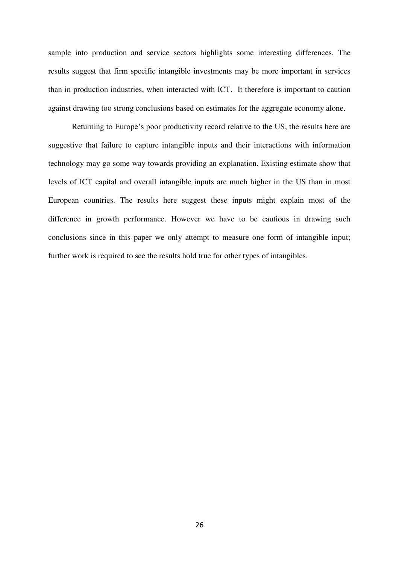sample into production and service sectors highlights some interesting differences. The results suggest that firm specific intangible investments may be more important in services than in production industries, when interacted with ICT. It therefore is important to caution against drawing too strong conclusions based on estimates for the aggregate economy alone.

Returning to Europe's poor productivity record relative to the US, the results here are suggestive that failure to capture intangible inputs and their interactions with information technology may go some way towards providing an explanation. Existing estimate show that levels of ICT capital and overall intangible inputs are much higher in the US than in most European countries. The results here suggest these inputs might explain most of the difference in growth performance. However we have to be cautious in drawing such conclusions since in this paper we only attempt to measure one form of intangible input; further work is required to see the results hold true for other types of intangibles.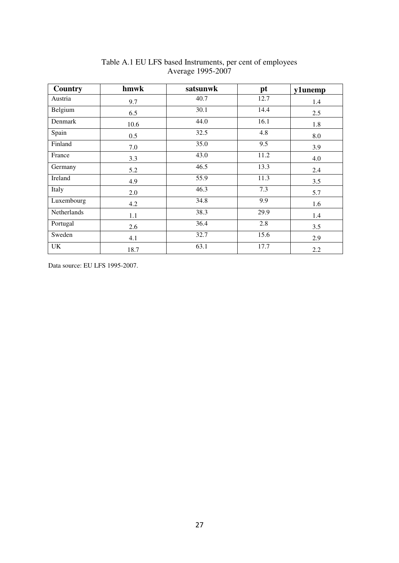| Country     | hmwk | satsunwk | pt   | y1unemp |
|-------------|------|----------|------|---------|
| Austria     | 9.7  | 40.7     | 12.7 | 1.4     |
| Belgium     | 6.5  | 30.1     | 14.4 | 2.5     |
| Denmark     | 10.6 | 44.0     | 16.1 | 1.8     |
| Spain       | 0.5  | 32.5     | 4.8  | 8.0     |
| Finland     | 7.0  | 35.0     | 9.5  | 3.9     |
| France      | 3.3  | 43.0     | 11.2 | 4.0     |
| Germany     | 5.2  | 46.5     | 13.3 | 2.4     |
| Ireland     | 4.9  | 55.9     | 11.3 | 3.5     |
| Italy       | 2.0  | 46.3     | 7.3  | 5.7     |
| Luxembourg  | 4.2  | 34.8     | 9.9  | 1.6     |
| Netherlands | 1.1  | 38.3     | 29.9 | 1.4     |
| Portugal    | 2.6  | 36.4     | 2.8  | 3.5     |
| Sweden      | 4.1  | 32.7     | 15.6 | 2.9     |
| UK          | 18.7 | 63.1     | 17.7 | 2.2     |

## Table A.1 EU LFS based Instruments, per cent of employees Average 1995-2007

Data source: EU LFS 1995-2007.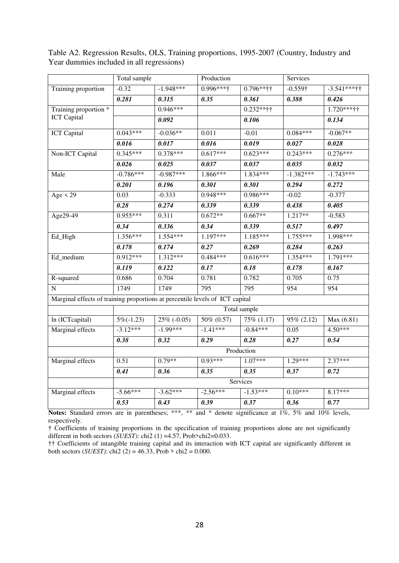|                                                                              | Total sample      |                | Production        |                   |                   | Services          |  |
|------------------------------------------------------------------------------|-------------------|----------------|-------------------|-------------------|-------------------|-------------------|--|
| Training proportion                                                          | $-0.32$           | $-1.948***$    | 0.996****         | $0.796***$ ††     | $-0.559\dagger$   | $-3.541***$       |  |
|                                                                              | 0.281             | 0.315          | 0.35              | 0.361             | 0.388             | 0.426             |  |
| Training proportion *                                                        |                   | $0.946***$     |                   | $0.232**$ ††      |                   | 1.720*****        |  |
| <b>ICT</b> Capital                                                           |                   | 0.092          |                   | 0.106             |                   | 0.134             |  |
| <b>ICT</b> Capital                                                           | $0.043***$        | $-0.036**$     | 0.011             | $-0.01$           | $0.084***$        | $-0.067**$        |  |
|                                                                              | 0.016             | 0.017          | 0.016             | 0.019             | 0.027             | 0.028             |  |
| Non-ICT Capital                                                              | $0.345***$        | $0.378***$     | $0.617***$        | $0.623***$        | $0.243***$        | $0.276***$        |  |
|                                                                              | 0.026             | 0.025          | 0.037             | 0.037             | 0.035             | 0.032             |  |
| Male                                                                         | $-0.786***$       | $-0.987***$    | 1.866***          | 1.834***          | $-1.382***$       | $-1.743***$       |  |
|                                                                              | 0.201             | 0.196          | 0.301             | 0.301             | 0.294             | 0.272             |  |
| Age $\leq$ 29                                                                | 0.03              | $-0.333$       | 0.948***          | 0.986***          | $-0.02$           | $-0.377$          |  |
|                                                                              | $\overline{0.28}$ | 0.274          | 0.339             | 0.339             | 0.438             | 0.405             |  |
| Age29-49                                                                     | $0.955***$        | 0.311          | $0.672**$         | $0.667**$         | 1.217**           | $-0.583$          |  |
|                                                                              | 0.34              | 0.336          | 0.34              | 0.339             | 0.517             | 0.497             |  |
| Ed_High                                                                      | 1.356***          | $1.554***$     | 1.197***          | $1.185***$        | $1.755***$        | 1.998***          |  |
|                                                                              | 0.178             | 0.174          | 0.27              | 0.269             | 0.284             | 0.263             |  |
| Ed_medium                                                                    | $0.912***$        | $1.312***$     | $0.484***$        | $0.616***$        | $1.354***$        | $1.791***$        |  |
|                                                                              | 0.119             | 0.122          | $\overline{0.17}$ | 0.18              | 0.178             | 0.167             |  |
| R-squared                                                                    | 0.686             | 0.704          | 0.781             | 0.782             | 0.705             | 0.75              |  |
| ${\bf N}$                                                                    | 1749              | 1749           | 795               | 795               | 954               | 954               |  |
| Marginal effects of training proportions at percentile levels of ICT capital |                   |                |                   |                   |                   |                   |  |
|                                                                              |                   |                |                   | Total sample      |                   |                   |  |
| In (ICTcapital)                                                              | $5\%(-1.23)$      | $25\%$ (-0.05) | 50% (0.57)        | 75% (1.17)        | 95% (2.12)        | Max (6.81)        |  |
| Marginal effects                                                             | $-3.12***$        | $-1.99***$     | $-1.41***$        | $-0.84***$        | 0.05              | $4.50***$         |  |
|                                                                              | $\overline{0.38}$ | 0.32           | 0.29              | $\overline{0.28}$ | $\overline{0.27}$ | $\overline{0.54}$ |  |
|                                                                              |                   |                |                   | Production        |                   |                   |  |
| Marginal effects                                                             | 0.51              | $0.79**$       | $0.93***$         | $1.07***$         | $1.29***$         | $2.37***$         |  |
|                                                                              | 0.41              | 0.36           | 0.35              | 0.35              | 0.37              | 0.72              |  |
|                                                                              |                   |                |                   | Services          |                   |                   |  |
| Marginal effects                                                             | $-5.66***$        | $-3.62***$     | $-2.56***$        | $-1.53***$        | $0.10***$         | 8.17***           |  |
|                                                                              | $\overline{0.53}$ | 0.43           | 0.39              | 0.37              | 0.36              | 0.77              |  |

Table A2. Regression Results, OLS, Training proportions, 1995-2007 (Country, Industry and Year dummies included in all regressions)

Notes: Standard errors are in parentheses; \*\*\*, \*\* and \* denote significance at 1%, 5% and 10% levels, respectively.

† Coefficients of training proportions in the specification of training proportions alone are not significantly different in both sectors (*SUEST)*: chi2 (1) =4.57, Prob>chi2=0.033.

†† Coefficients of intangible training capital and its interaction with ICT capital are significantly different in both sectors (*SUEST*): chi2 (2) = 46.33, Prob > chi2 = 0.000.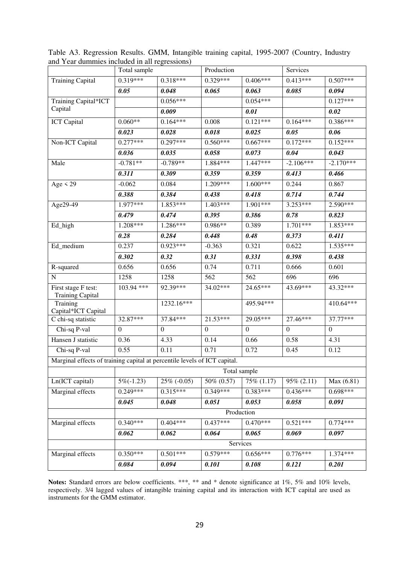|                                                                           | Total sample     | $\cdots$         | Production       |                  | Services         |                  |
|---------------------------------------------------------------------------|------------------|------------------|------------------|------------------|------------------|------------------|
| <b>Training Capital</b>                                                   | $0.319***$       | $0.318***$       | $0.329***$       | $0.406***$       | $0.413***$       | $0.507***$       |
|                                                                           | 0.05             | 0.048            | 0.065            | 0.063            | 0.085            | 0.094            |
| Training Capital*ICT                                                      |                  | $0.056***$       |                  | $0.054***$       |                  | $0.127***$       |
| Capital                                                                   |                  | 0.009            |                  | 0.01             |                  | 0.02             |
| <b>ICT</b> Capital                                                        | $0.060**$        | $0.164***$       | 0.008            | $0.121***$       | $0.164***$       | $0.386***$       |
|                                                                           | 0.023            | 0.028            | 0.018            | 0.025            | 0.05             | 0.06             |
| Non-ICT Capital                                                           | $0.277***$       | $0.297***$       | $0.560***$       | $0.667***$       | $0.172***$       | $0.152***$       |
|                                                                           | 0.036            | 0.035            | 0.058            | 0.073            | 0.04             | 0.043            |
| Male                                                                      | $-0.781**$       | $-0.789**$       | 1.884***         | 1.447***         | $-2.106***$      | $-2.170***$      |
|                                                                           | 0.311            | 0.309            | 0.359            | 0.359            | 0.413            | 0.466            |
| Age $\leq$ 29                                                             | $-0.062$         | 0.084            | 1.209***         | $1.600***$       | 0.244            | 0.867            |
|                                                                           | 0.388            | 0.384            | 0.438            | 0.418            | 0.714            | 0.744            |
| Age29-49                                                                  | 1.977***         | 1.853***         | 1.403***         | 1.901***         | $3.253***$       | $2.590***$       |
|                                                                           | 0.479            | 0.474            | 0.395            | 0.386            | 0.78             | 0.823            |
| Ed_high                                                                   | $1.208***$       | $1.286***$       | 0.986**          | 0.389            | $1.701***$       | 1.853***         |
|                                                                           | 0.28             | 0.284            | 0.448            | 0.48             | 0.373            | 0.411            |
| Ed_medium                                                                 | 0.237            | $0.923***$       | $-0.363$         | 0.321            | 0.622            | $1.535***$       |
|                                                                           | 0.302            | 0.32             | 0.31             | 0.331            | 0.398            | 0.438            |
| R-squared                                                                 | 0.656            | 0.656            | 0.74             | 0.711            | 0.666            | 0.601            |
| ${\bf N}$                                                                 | 1258             | 1258             | 562              | 562              | 696              | 696              |
| First stage F test:<br><b>Training Capital</b>                            | 103.94 ***       | 92.39***         | 34.02***         | 24.65***         | $43.69***$       | 43.32***         |
| Training<br>Capital*ICT Capital                                           |                  | 1232.16***       |                  | 495.94***        |                  | 410.64***        |
| C chi-sq statistic                                                        | 32.87***         | 37.84***         | $21.53***$       | 29.05***         | 27.46***         | 37.77***         |
| Chi-sq P-val                                                              | $\boldsymbol{0}$ | $\boldsymbol{0}$ | $\boldsymbol{0}$ | $\boldsymbol{0}$ | $\boldsymbol{0}$ | $\boldsymbol{0}$ |
| Hansen J statistic                                                        | 0.36             | 4.33             | 0.14             | 0.66             | 0.58             | 4.31             |
| Chi-sq P-val                                                              | 0.55             | 0.11             | 0.71             | 0.72             | 0.45             | 0.12             |
| Marginal effects of training capital at percentile levels of ICT capital. |                  |                  |                  |                  |                  |                  |
|                                                                           |                  |                  | Total sample     |                  |                  |                  |
| Ln(ICT capital)                                                           | $5\%(-1.23)$     | $25\%$ (-0.05)   | 50% (0.57)       | 75% (1.17)       | $95\% (2.11)$    | Max (6.81)       |
| Marginal effects                                                          | $0.249***$       | $0.315***$       | $0.349***$       | $0.383***$       | $0.436***$       | $0.698***$       |
|                                                                           | 0.045            | 0.048            | 0.051            | 0.053            | 0.058            | 0.091            |
|                                                                           |                  |                  | Production       |                  |                  |                  |
| Marginal effects                                                          | $0.340***$       | $0.404***$       | $0.437***$       | $0.470***$       | $0.521***$       | $0.774***$       |
|                                                                           | 0.062            | 0.062            | 0.064            | 0.065            | 0.069            | 0.097            |
|                                                                           |                  |                  | Services         |                  |                  |                  |
| Marginal effects                                                          | $0.350***$       | $0.501***$       | $0.579***$       | $0.656***$       | $0.776***$       | 1.374***         |
|                                                                           | 0.084            | 0.094            | 0.101            | 0.108            | 0.121            | 0.201            |

Table A3. Regression Results. GMM, Intangible training capital, 1995-2007 (Country, Industry and Year dummies included in all regressions)

Notes: Standard errors are below coefficients. \*\*\*, \*\* and \* denote significance at 1%, 5% and 10% levels, respectively. 3/4 lagged values of intangible training capital and its interaction with ICT capital are used as instruments for the GMM estimator.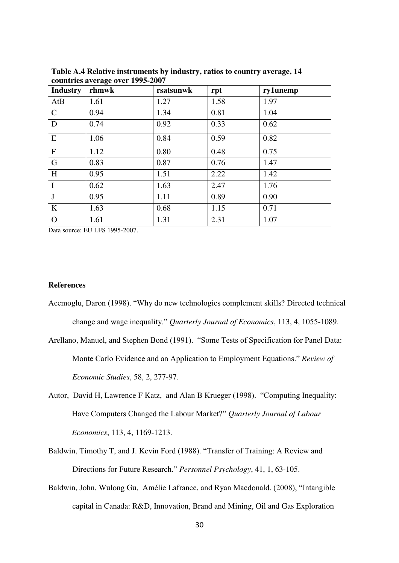| <b>Industry</b> | $\frac{1}{2}$<br>rhmwk | rsatsunwk | rpt  | ry1unemp |
|-----------------|------------------------|-----------|------|----------|
| AtB             | 1.61                   | 1.27      | 1.58 | 1.97     |
| $\mathsf{C}$    | 0.94                   | 1.34      | 0.81 | 1.04     |
| D               | 0.74                   | 0.92      | 0.33 | 0.62     |
| E               | 1.06                   | 0.84      | 0.59 | 0.82     |
| $\mathbf F$     | 1.12                   | 0.80      | 0.48 | 0.75     |
| G               | 0.83                   | 0.87      | 0.76 | 1.47     |
| H               | 0.95                   | 1.51      | 2.22 | 1.42     |
| $\mathbf I$     | 0.62                   | 1.63      | 2.47 | 1.76     |
| J               | 0.95                   | 1.11      | 0.89 | 0.90     |
| K               | 1.63                   | 0.68      | 1.15 | 0.71     |
| $\Omega$        | 1.61                   | 1.31      | 2.31 | 1.07     |

**Table A.4 Relative instruments by industry, ratios to country average, 14 countries average over 1995-2007** 

Data source: EU LFS 1995-2007.

#### **References**

- Acemoglu, Daron (1998). "Why do new technologies complement skills? Directed technical change and wage inequality." *Quarterly Journal of Economics*, 113, 4, 1055-1089.
- Arellano, Manuel, and Stephen Bond (1991). "Some Tests of Specification for Panel Data: Monte Carlo Evidence and an Application to Employment Equations." *Review of Economic Studies*, 58, 2, 277-97.
- Autor, David H, Lawrence F Katz, and Alan B Krueger (1998). "Computing Inequality: Have Computers Changed the Labour Market?" *Quarterly Journal of Labour Economics*, 113, 4, 1169-1213.
- Baldwin, Timothy T, and J. Kevin Ford (1988). "Transfer of Training: A Review and Directions for Future Research." *Personnel Psychology*, 41, 1, 63-105.
- Baldwin, John, Wulong Gu, Amélie Lafrance, and Ryan Macdonald. (2008), "Intangible capital in Canada: R&D, Innovation, Brand and Mining, Oil and Gas Exploration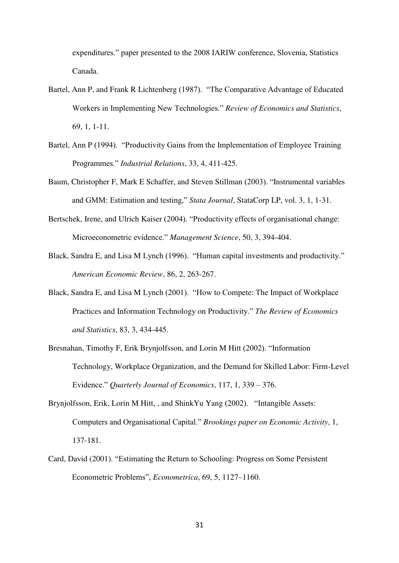expenditures." paper presented to the 2008 IARIW conference, Slovenia, Statistics Canada.

- Bartel, Ann P, and Frank R Lichtenberg (1987). "The Comparative Advantage of Educated Workers in Implementing New Technologies." *Review of Economics and Statistics*, 69, 1, 1-11.
- Bartel, Ann P (1994). "Productivity Gains from the Implementation of Employee Training Programmes." *Industrial Relations*, 33, 4, 411-425.
- Baum, Christopher F, Mark E Schaffer, and Steven Stillman (2003). "Instrumental variables and GMM: Estimation and testing," *Stata Journal*, StataCorp LP, vol. 3, 1, 1-31.
- Bertschek, Irene, and Ulrich Kaiser (2004). "Productivity effects of organisational change: Microeconometric evidence." *Management Science*, 50, 3, 394-404.
- Black, Sandra E, and Lisa M Lynch (1996). "Human capital investments and productivity." *American Economic Review*, 86, 2, 263-267.
- Black, Sandra E, and Lisa M Lynch (2001). "How to Compete: The Impact of Workplace Practices and Information Technology on Productivity." *The Review of Economics and Statistics*, 83, 3, 434-445.
- Bresnahan, Timothy F, Erik Brynjolfsson, and Lorin M Hitt (2002). "Information Technology, Workplace Organization, and the Demand for Skilled Labor: Firm-Level Evidence." *Quarterly Journal of Economics*, 117, 1, 339 – 376.
- Brynjolfsson, Erik, Lorin M Hitt, , and ShinkYu Yang (2002). "Intangible Assets: Computers and Organisational Capital." *Brookings paper on Economic Activity*, 1, 137-181.
- Card, David (2001). "Estimating the Return to Schooling: Progress on Some Persistent Econometric Problems", *Econometrica*, 69, 5, 1127–1160.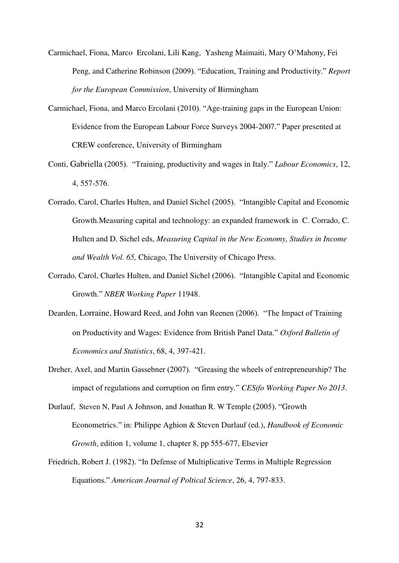- Carmichael, Fiona, Marco Ercolani, Lili Kang, Yasheng Maimaiti, Mary O'Mahony, Fei Peng, and Catherine Robinson (2009). "Education, Training and Productivity." *Report for the European Commission*, University of Birmingham
- Carmichael, Fiona, and Marco Ercolani (2010). "Age-training gaps in the European Union: Evidence from the European Labour Force Surveys 2004-2007." Paper presented at CREW conference, University of Birmingham
- Conti, Gabriella (2005). "Training, productivity and wages in Italy." *Labour Economics*, 12, 4, 557-576.
- Corrado, Carol, Charles Hulten, and Daniel Sichel (2005). "Intangible Capital and Economic Growth.Measuring capital and technology: an expanded framework in C. Corrado, C. Hulten and D. Sichel eds, *Measuring Capital in the New Economy, Studies in Income and Wealth Vol. 65,* Chicago, The University of Chicago Press.
- Corrado, Carol, Charles Hulten, and Daniel Sichel (2006). "Intangible Capital and Economic Growth." *NBER Working Paper* 11948.
- Dearden, Lorraine, Howard Reed, and John van Reenen (2006). "The Impact of Training on Productivity and Wages: Evidence from British Panel Data." *Oxford Bulletin of Economics and Statistics*, 68, 4, 397-421.
- Dreher, Axel, and Martin Gassebner (2007). "Greasing the wheels of entrepreneurship? The impact of regulations and corruption on firm entry." *CESifo Working Paper No 2013*.
- Durlauf, Steven N, Paul A Johnson, and Jonathan R. W Temple (2005). "Growth Econometrics." in: Philippe Aghion & Steven Durlauf (ed.), *Handbook of Economic Growth*, edition 1, volume 1, chapter 8, pp 555-677, Elsevier
- Friedrich, Robert J. (1982). "In Defense of Multiplicative Terms in Multiple Regression Equations." *American Journal of Poltical Science*, 26, 4, 797-833.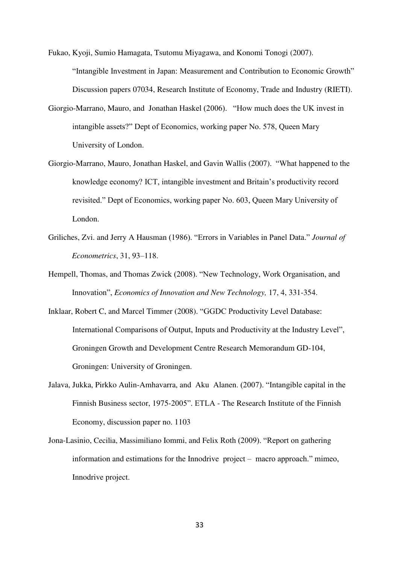Fukao, Kyoji, Sumio Hamagata, Tsutomu Miyagawa, and Konomi Tonogi (2007). "Intangible Investment in Japan: Measurement and Contribution to Economic Growth" Discussion papers 07034, Research Institute of Economy, Trade and Industry (RIETI).

- Giorgio-Marrano, Mauro, and Jonathan Haskel (2006). "How much does the UK invest in intangible assets?" Dept of Economics, working paper No. 578, Queen Mary University of London.
- Giorgio-Marrano, Mauro, Jonathan Haskel, and Gavin Wallis (2007). "What happened to the knowledge economy? ICT, intangible investment and Britain's productivity record revisited." Dept of Economics, working paper No. 603, Queen Mary University of London.
- Griliches, Zvi. and Jerry A Hausman (1986). "Errors in Variables in Panel Data." *Journal of Econometrics*, 31, 93–118.
- Hempell, Thomas, and Thomas Zwick (2008). "New Technology, Work Organisation, and Innovation", *Economics of Innovation and New Technology,* 17, 4, 331-354.
- Inklaar, Robert C, and Marcel Timmer (2008). "GGDC Productivity Level Database: International Comparisons of Output, Inputs and Productivity at the Industry Level", Groningen Growth and Development Centre Research Memorandum GD-104, Groningen: University of Groningen.
- Jalava, Jukka, Pirkko Aulin-Amhavarra, and Aku Alanen. (2007). "Intangible capital in the Finnish Business sector, 1975-2005". ETLA - The Research Institute of the Finnish Economy, discussion paper no. 1103
- Jona-Lasinio, Cecilia, Massimiliano Iommi, and Felix Roth (2009). "Report on gathering information and estimations for the Innodrive project – macro approach." mimeo, Innodrive project.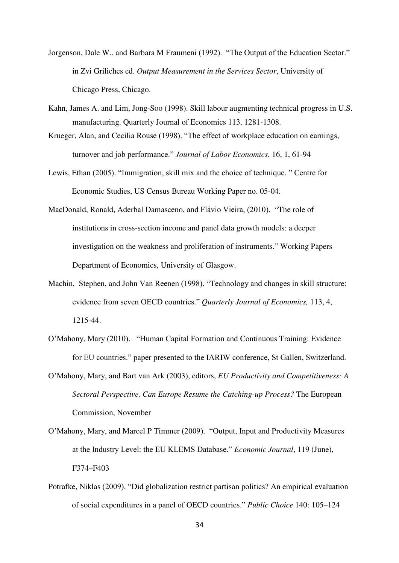- Jorgenson, Dale W.. and Barbara M Fraumeni (1992). "The Output of the Education Sector." in Zvi Griliches ed. *Output Measurement in the Services Sector*, University of Chicago Press, Chicago.
- Kahn, James A. and Lim, Jong-Soo (1998). Skill labour augmenting technical progress in U.S. manufacturing. Quarterly Journal of Economics 113, 1281-1308.
- Krueger, Alan, and Cecilia Rouse (1998). "The effect of workplace education on earnings, turnover and job performance." *Journal of Labor Economics*, 16, 1, 61-94
- Lewis, Ethan (2005). "Immigration, skill mix and the choice of technique. " Centre for Economic Studies, US Census Bureau Working Paper no. 05-04.
- MacDonald, Ronald, Aderbal Damasceno, and Flávio Vieira, (2010). "The role of institutions in cross-section income and panel data growth models: a deeper investigation on the weakness and proliferation of instruments." Working Papers Department of Economics, University of Glasgow.
- Machin, Stephen, and John Van Reenen (1998). "Technology and changes in skill structure: evidence from seven OECD countries." *Quarterly Journal of Economics,* 113, 4, 1215-44.
- O'Mahony, Mary (2010). "Human Capital Formation and Continuous Training: Evidence for EU countries." paper presented to the IARIW conference, St Gallen, Switzerland.
- O'Mahony, Mary, and Bart van Ark (2003), editors, *EU Productivity and Competitiveness: A Sectoral Perspective. Can Europe Resume the Catching-up Process?* The European Commission, November
- O'Mahony, Mary, and Marcel P Timmer (2009). "Output, Input and Productivity Measures at the Industry Level: the EU KLEMS Database." *Economic Journal*, 119 (June), F374–F403
- Potrafke, Niklas (2009). "Did globalization restrict partisan politics? An empirical evaluation of social expenditures in a panel of OECD countries." *Public Choice* 140: 105–124